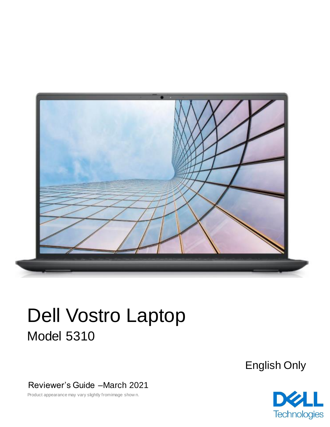

# Dell Vostro Laptop Model 5310

English Only

Reviewer's Guide –March 2021

Product appearance may vary slightly from image show n.

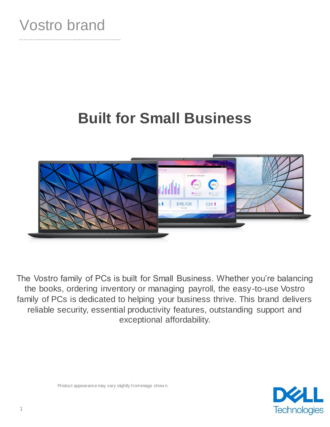

# **Built for Small Business**



The Vostro family of PCs is built for Small Business. Whether you're balancing the books, ordering inventory or managing payroll, the easy-to-use Vostro family of PCs is dedicated to helping your business thrive. This brand delivers reliable security, essential productivity features, outstanding support and exceptional affordability.



Product appearance may vary slightly from image show n.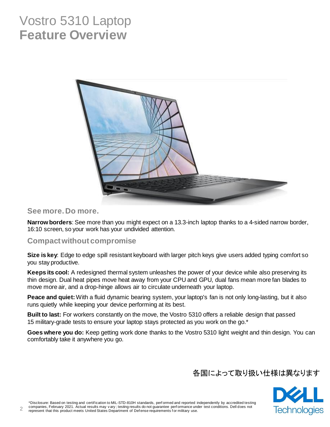### Vostro 5310 Laptop **Feature Overview**



#### **See more. Do more.**

**Narrow borders**: See more than you might expect on a 13.3-inch laptop thanks to a 4-sided narrow border, 16:10 screen, so your work has your undivided attention.

#### **Compact without compromise**

**Size is key**: Edge to edge spill resistant keyboard with larger pitch keys give users added typing comfort so you stay productive.

**Keeps its cool:** A redesigned thermal system unleashes the power of your device while also preserving its thin design. Dual heat pipes move heat away from your CPU and GPU, dual fans mean more fan blades to move more air, and a drop-hinge allows air to circulate underneath your laptop.

**Peace and quiet:**With a fluid dynamic bearing system, your laptop's fan is not only long-lasting, but it also runs quietly while keeping your device performing at its best.

**Built to last:** For workers constantly on the move, the Vostro 5310 offers a reliable design that passed 15 military-grade tests to ensure your laptop stays protected as you work on the go.\*

**Goes where you do:** Keep getting work done thanks to the Vostro 5310 light weight and thin design. You can comfortably take it anywhere you go.

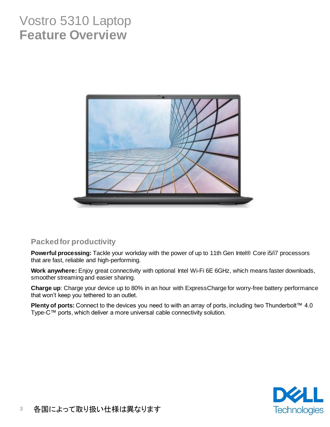### Vostro 5310 Laptop **Feature Overview**



#### **Packed for productivity**

**Powerful processing:** Tackle your workday with the power of up to 11th Gen Intel® Core i5/i7 processors that are fast, reliable and high-performing.

**Work anywhere:** Enjoy great connectivity with optional Intel Wi-Fi 6E 6GHz, which means faster downloads, smoother streaming and easier sharing.

**Charge up**: Charge your device up to 80% in an hour with ExpressCharge for worry-free battery performance that won't keep you tethered to an outlet.

**Plenty of ports:** Connect to the devices you need to with an array of ports, including two Thunderbolt™ 4.0 Type-C™ ports, which deliver a more universal cable connectivity solution.

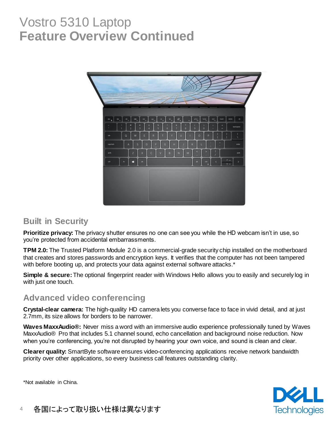### Vostro 5310 Laptop **Feature Overview Continued**



#### **Built in Security**

**Prioritize privacy:** The privacy shutter ensures no one can see you while the HD webcam isn't in use, so you're protected from accidental embarrassments.

**TPM 2.0:** The Trusted Platform Module 2.0 is a commercial-grade security chip installed on the motherboard that creates and stores passwords and encryption keys. It verifies that the computer has not been tampered with before booting up, and protects your data against external software attacks.<sup>\*</sup>

**Simple & secure:**The optional fingerprint reader with Windows Hello allows you to easily and securely log in with just one touch.

#### **Advanced video conferencing**

**Crystal-clear camera:** The high-quality HD camera lets you converse face to face in vivid detail, and at just 2.7mm, its size allows for borders to be narrower.

**Waves MaxxAudio®:** Never miss a word with an immersive audio experience professionally tuned by Waves MaxxAudio® Pro that includes 5.1 channel sound, echo cancellation and background noise reduction. Now when you're conferencing, you're not disrupted by hearing your own voice, and sound is clean and clear.

**Clearer quality:** SmartByte software ensures video-conferencing applications receive network bandwidth priority over other applications, so every business call features outstanding clarity.



\*Not available in China.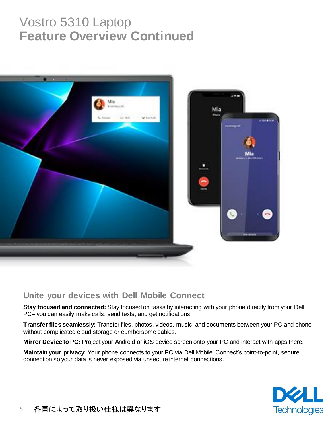# Vostro 5310 Laptop **Feature Overview Continued**



#### **Unite your devices with Dell Mobile Connect**

**Stay focused and connected:** Stay focused on tasks by interacting with your phone directly from your Dell PC– you can easily make calls, send texts, and get notifications.

**Transfer files seamlessly:** Transfer files, photos, videos, music, and documents between your PC and phone without complicated cloud storage or cumbersome cables.

**Mirror Device to PC:** Project your Android or iOS device screen onto your PC and interact with apps there.

**Maintain your privacy:** Your phone connects to your PC via Dell Mobile Connect's point-to-point, secure connection so your data is never exposed via unsecure internet connections.

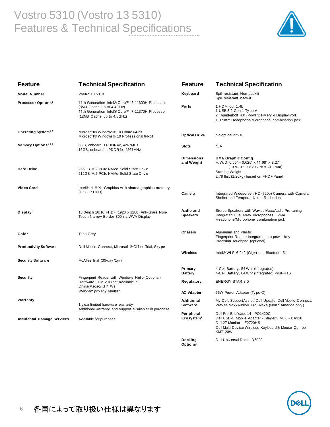### Vostro 5310 (Vostro 13 5310) Features & Technical Specifications



| <b>Feature</b>                    | <b>Technical Specification</b>                                                                                                                                  | <b>Feature</b>                       | <b>Technical Specification</b>                                                                                                                                                                      |
|-----------------------------------|-----------------------------------------------------------------------------------------------------------------------------------------------------------------|--------------------------------------|-----------------------------------------------------------------------------------------------------------------------------------------------------------------------------------------------------|
| Model Number <sup>1</sup>         | Vostro 13 5310                                                                                                                                                  | Keyboard                             | Spill resistant, Non-backlit<br>Spill resistant, backlit                                                                                                                                            |
| Processor Options <sup>1</sup>    | 11th Generation Intel® Core™ i5-11300H Processor<br>(8MB Cache, up to 4.4GHz)<br>11th Generation Intel® Core™ i7-11370H Processor<br>(12MB Cache, up to 4.8GHz) | Ports                                | 1 HDMI out 1.4b<br>1 USB 3.2 Gen 1 Type-A<br>2 Thunderbolt 4.0 (PowerDelivery & Display Port)<br>1 3.5mm Headphone/Microphone combination jack                                                      |
| Operating System <sup>1,2</sup>   | Microsoft® Windows® 10 Home 64-bit<br>Microsoft® Windows® 10 Professional 64-bit                                                                                | <b>Optical Drive</b>                 | No optical drive                                                                                                                                                                                    |
| Memory Options <sup>1,2,3</sup>   | 8GB, onboard, LPDDR4x, 4267MHz<br>16GB, onboard, LPDDR4x, 4267MHz                                                                                               | <b>Slots</b>                         | N/A                                                                                                                                                                                                 |
| <b>Hard Drive</b>                 | 256GB M.2 PCIe NVMe Solid State Drive<br>512GB M.2 PCIe NVMe Solid State Drive                                                                                  | <b>Dimensions</b><br>and Weight      | <b>UMA Graphic Config.</b><br>$H/W/D$ : 0.55" - 0.625" x 11.68" x 8.27"<br>$(13.9 - 15.9 \times 296.78 \times 210 \text{ mm})$<br><b>Starting Weight:</b><br>2.78 lbs. (1.26kg) based on FHD+ Panel |
| Video Card                        | Intel® Iris® Xe Graphics with shared graphics memory<br>(Ci5/Ci7 CPU)                                                                                           | Camera                               | Integrated Widescreen HD (720p) Camera with Camera<br>Shelter and Temporal Noise Reduction                                                                                                          |
| Display <sup>1</sup>              | 13.3-inch 16:10 FHD+ (1920 x 1200) Anti-Glare Non-<br>Touch Narrow Border 300nits WVA Display                                                                   | Audio and<br><b>Speakers</b>         | Stereo Speakers with Waves MaxxAudio Pro tuning<br>Integrated Dual Array Microphones3.5mm<br>Headphone/Microphone combination jack                                                                  |
| Color                             | <b>Titan Grey</b>                                                                                                                                               | Chassis                              | Aluminum and Plastic<br>Fingerprint Reader integrated into power key<br>Precision Touchpad (optional)                                                                                               |
| <b>Productivity Software</b>      | Dell Mobile Connect, Microsoft® Office Trial, Skype                                                                                                             | Wireless                             | Intel® Wi-Fi 6 2x2 (Gig+) and Bluetooth 5.1                                                                                                                                                         |
| <b>Security Software</b>          | McAfee Trial (30-day/1yr)                                                                                                                                       |                                      |                                                                                                                                                                                                     |
|                                   |                                                                                                                                                                 | Primary<br><b>Battery</b>            | 4-Cell Battery, 54 Whr (Integrated)<br>4-Cell Battery, 64 Whr (Integrated) Post-RTS                                                                                                                 |
| <b>Security</b>                   | Fingerprint Reader with Windows Hello (Optional)<br>Hardware TPM 2.0 (not av ailable in<br>China/Macao/KH/TW)                                                   | Regulatory                           | <b>ENERGY STAR 8.0</b>                                                                                                                                                                              |
|                                   | Webcam privacy shutter                                                                                                                                          | <b>AC Adapter</b>                    | 65W Power Adapter (Type-C)                                                                                                                                                                          |
| Warranty                          | 1 year limited hardware warranty<br>Additional warranty and support available for purchase                                                                      | Additional<br><b>Software</b>        | My Dell, SupportAssist, Dell Update, Dell Mobile Connect,<br>Waves MaxxAudio® Pro, Alexa (North America only)                                                                                       |
| <b>Accidental Damage Services</b> | Av ailable f or purchase                                                                                                                                        | Peripheral<br>Ecosystem <sup>1</sup> | Dell Pro Brief case 14 - PO1420C<br>Dell USB-C Mobile Adapter - Slay er 3 MLK - DA310<br>Dell 27 Monitor - E2720HS<br>Dell Multi-Device Wireless Keyboard & Mouse Combo -<br><b>KM7120W</b>         |
|                                   |                                                                                                                                                                 | Docking<br>Options <sup>1</sup>      | Dell Universal Dock   D6000                                                                                                                                                                         |

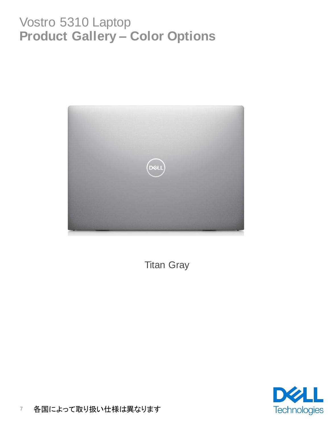## Vostro 5310 Laptop **Product Gallery – Color Options**



Titan Gray

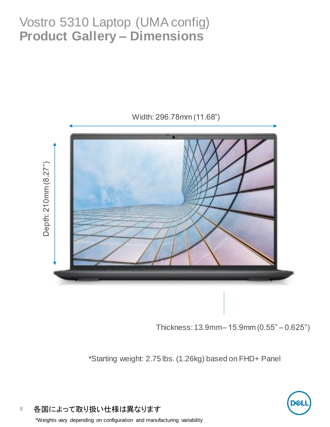# Vostro 5310 Laptop (UMA config) **Product Gallery – Dimensions**



Thickness: 13.9mm– 15.9mm (0.55" – 0.625")

\*Starting weight: 2.75 lbs. (1.26kg) based on FHD+ Panel

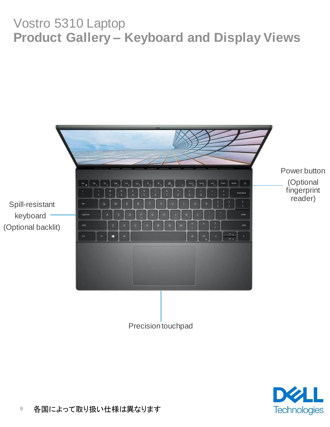# Vostro 5310 Laptop **Product Gallery – Keyboard and Display Views**



Precision touchpad

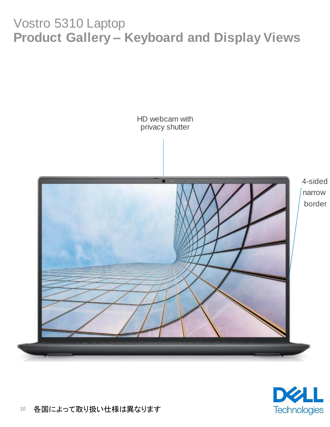# Vostro 5310 Laptop **Product Gallery – Keyboard and Display Views**

HD webcam with privacy shutter



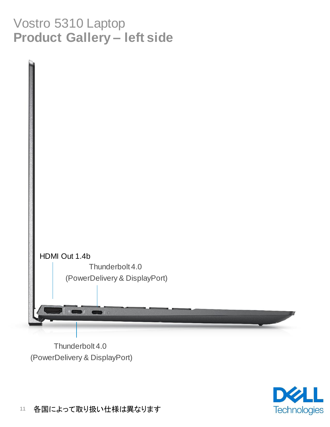# Vostro 5310 Laptop **Product Gallery – left side**



Thunderbolt 4.0 (PowerDelivery & DisplayPort)

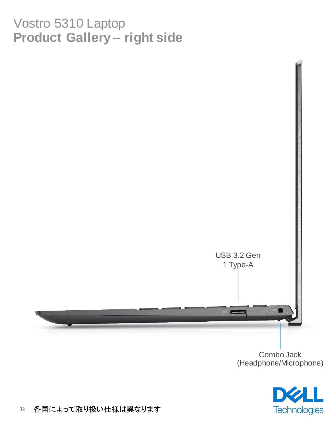# Vostro 5310 Laptop **Product Gallery – right side**



Combo Jack (Headphone/Microphone)

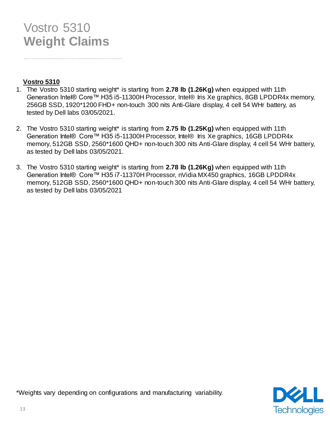### Vostro 5310 **Weight Claims**

#### **Vostro 5310**

- 1. The Vostro 5310 starting weight\* is starting from **2.78 lb (1.26Kg)** when equipped with 11th Generation Intel® Core™ H35 i5-11300H Processor, Intel® Iris Xe graphics, 8GB LPDDR4x memory, 256GB SSD, 1920\*1200 FHD+ non-touch 300 nits Anti-Glare display, 4 cell 54 WHr battery, as tested by Dell labs 03/05/2021.
- 2. The Vostro 5310 starting weight\* is starting from **2.75 lb (1.25Kg)** when equipped with 11th Generation Intel® Core™ H35 i5-11300H Processor, Intel® Iris Xe graphics, 16GB LPDDR4x memory, 512GB SSD, 2560\*1600 QHD+ non-touch 300 nits Anti-Glare display, 4 cell 54 WHr battery, as tested by Dell labs 03/05/2021.
- 3. The Vostro 5310 starting weight\* is starting from **2.78 lb (1.26Kg)** when equipped with 11th Generation Intel® Core™ H35 i7-11370H Processor, nVidia MX450 graphics, 16GB LPDDR4x memory, 512GB SSD, 2560\*1600 QHD+ non-touch 300 nits Anti-Glare display, 4 cell 54 WHr battery, as tested by Dell labs 03/05/2021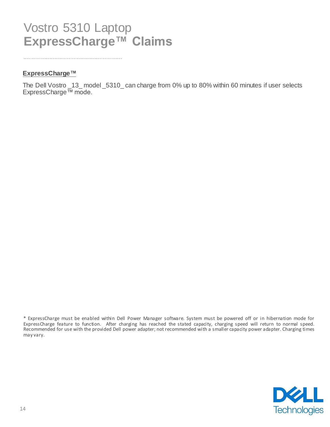### Vostro 5310 Laptop **ExpressCharge™ Claims**

#### **ExpressCharge™**

The Dell Vostro \_13\_ model \_5310\_ can charge from 0% up to 80% within 60 minutes if user selects ExpressCharge™ mode.



<sup>\*</sup> ExpressCharge must be enabled within Dell Power Manager software. System must be powered off or in hibernation mode for ExpressCharge feature to function. After charging has reached the stated capacity, charging speed will return to normal speed. Recommended for use with the provided Dell power adapter; not recommended with a smaller capacity power adapter. Charging times may vary.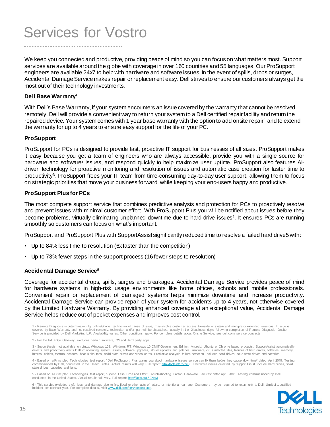# Services for Vostro

We keep you connected and productive, providing peace of mind so you can focus on what matters most. Support services are available around the globe with coverage in over 160 countries and 55 languages. Our ProSupport engineers are available 24x7 to help with hardware and software issues. In the event of spills, drops or surges, Accidental Damage Service makes repair or replacement easy. Dell strives to ensure our customers always get the most out of their technology investments.

#### **Dell Base Warranty<sup>1</sup>**

With Dell's Base Warranty, if your system encounters an issue covered by the warranty that cannot be resolved remotely, Dell will provide a convenient way to return your system to a Dell certified repair facility and return the repaired device. Your system comes with 1 year base warranty with the option to add onsite repair<sup>1</sup> and to extend the warranty for up to 4 years to ensure easy support for the life of your PC.

#### **ProSupport**

ProSupport for PCs is designed to provide fast, proactive IT support for businesses of all sizes. ProSupport makes it easy because you get a team of engineers who are always accessible, provide you with a single source for hardware and software<sup>2</sup> issues, and respond quickly to help maximize user uptime. ProSupport also features Aldriven technology for proactive monitoring and resolution of issues and automatic case creation for faster time to productivity<sup>3</sup>. ProSupport frees your IT team from time-consuming day-to-day user support, allowing them to focus on strategic priorities that move your business forward, while keeping your end-users happy and productive.

#### **ProSupport Plus for PCs**

The most complete support service that combines predictive analysis and protection for PCs to proactively resolve and prevent issues with minimal customer effort. With ProSupport Plus you will be notified about issues before they become problems, virtually eliminating unplanned downtime due to hard drive issues<sup>4</sup>. It ensures PCs are running smoothly so customers can focus on what's important.

ProSupport and ProSupport Plus with SupportAssist significantly reduced time to resolve a failed hard drive5 with:

- Up to 84% less time to resolution (6x faster than the competition)
- Up to 73% fewer steps in the support process (16 fewer steps to resolution)

#### **Accidental Damage Service<sup>5</sup>**

Coverage for accidental drops, spills, surges and breakages. Accidental Damage Service provides peace of mind for hardware systems in high-risk usage environments like home offices, schools and mobile professionals. Convenient repair or replacement of damaged systems helps minimize downtime and increase productivity. Accidental Damage Service can provide repair of your system for accidents up to 4 years, not otherwise covered by the Limited Hardware Warranty. By providing enhanced coverage at an exceptional value, Accidental Damage Service helps reduce out of pocket expenses and improves cost control.

3 - SupportAssist not available on Linux, Windows 10S, Windows RT, Windows 10 CMIT Government Edition, Android, Ubuntu or Chrome based products. SupportAssist automatically detects and proactively alerts Dell to: operating system issues, software upgrades, driver updates and patches, malware, virus infected files, failures of hard drives, batteries, memory, internal cables, thermal sensors, heat sinks, fans, solid state drives and video cards. Predictive analysis failure detection includes hard drives, solid state drives and batteries.

4 - Based on a Principled Technologies test report, "Dell ProSupport Plus warns you about hardware issues so you can fix them before they cause downtime" dated April 2019. Testing commissioned by Dell, conducted in the United States. Actual results will vary. Full report: [http://facts.pt/0xvze8.](http://facts.pt/0xvze8) Hardware issues detected by SupportAssist include hard drives, solid state drives, batteries and fans.

5 - Based on a Principled Technologies test report, "Spend Less Time and Effort Troubleshooting Laptop Hardware Failures" dated April 2018. Testing commissioned by Dell, conducted in the United States. Actual results will vary. Full report:<http://facts.pt/L52XKM>

6 - This service excludes theft, loss, and damage due to fire, flood or other acts of nature, or intentional damage. Customers may be required to return unit to Dell. Limit of 1 qualified incident per contract year. For complete details, visit www.dell.com/service-



<sup>1 -</sup> Remote Diagnosis is determination by online/phone technician of cause of issue; may involve customer access to inside of system and multiple or extended sessions. If issue is<br>covered by Base Warranty and not resolved r Service is provided by Dell Marketing L.P. Availability varies. Other conditions apply. For complete details about Onsite Ser vice, see dell.com/ service contracts

<sup>2 -</sup> For the IoT Edge Gateway, excludes certain software, OS and third party apps.